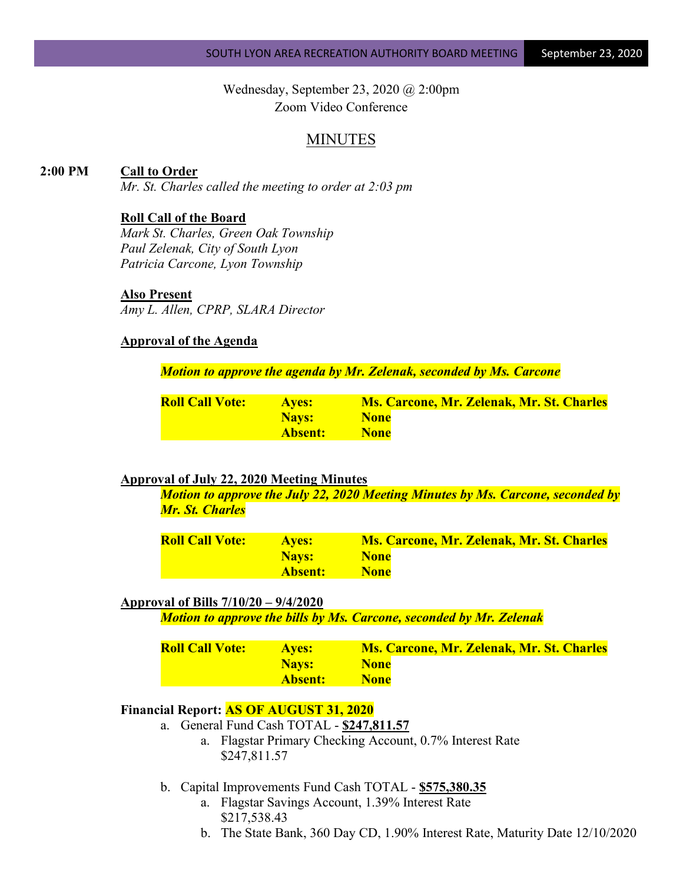Wednesday, September 23, 2020 @ 2:00pm Zoom Video Conference

# MINUTES

## **2:00 PM Call to Order**

*Mr. St. Charles called the meeting to order at 2:03 pm*

#### **Roll Call of the Board**

*Mark St. Charles, Green Oak Township Paul Zelenak, City of South Lyon Patricia Carcone, Lyon Township*

### **Also Present**

*Amy L. Allen, CPRP, SLARA Director*

## **Approval of the Agenda**

*Motion to approve the agenda by Mr. Zelenak, seconded by Ms. Carcone*

| <b>Roll Call Vote:</b> | <b>Aves:</b>   | <b>Ms. Carcone, Mr. Zelenak, Mr. St. Charles</b> |
|------------------------|----------------|--------------------------------------------------|
|                        | <b>Nays:</b>   | <b>None</b>                                      |
|                        | <b>Absent:</b> | <b>None</b>                                      |

### **Approval of July 22, 2020 Meeting Minutes**

*Motion to approve the July 22, 2020 Meeting Minutes by Ms. Carcone, seconded by Mr. St. Charles*

| <b>Roll Call Vote:</b> | <b>Aves:</b> | <b>Ms. Carcone, Mr. Zelenak, Mr. St. Charles</b> |
|------------------------|--------------|--------------------------------------------------|
|                        | <b>Navs:</b> | <b>None</b>                                      |
|                        | Absent:      | <b>None</b>                                      |

### **Approval of Bills 7/10/20 – 9/4/2020**

*Motion to approve the bills by Ms. Carcone, seconded by Mr. Zelenak*

| <b>Roll Call Vote:</b> | <b>Aves:</b> | <b>Ms. Carcone, Mr. Zelenak, Mr. St. Charles</b> |
|------------------------|--------------|--------------------------------------------------|
|                        | Nays:        | <b>None</b>                                      |
|                        | Absent:      | <b>None</b>                                      |

#### **Financial Report: AS OF AUGUST 31, 2020**

- a. General Fund Cash TOTAL **\$247,811.57**
	- a. Flagstar Primary Checking Account, 0.7% Interest Rate \$247,811.57
- b. Capital Improvements Fund Cash TOTAL **\$575,380.35**
	- a. Flagstar Savings Account, 1.39% Interest Rate \$217,538.43
	- b. The State Bank, 360 Day CD, 1.90% Interest Rate, Maturity Date 12/10/2020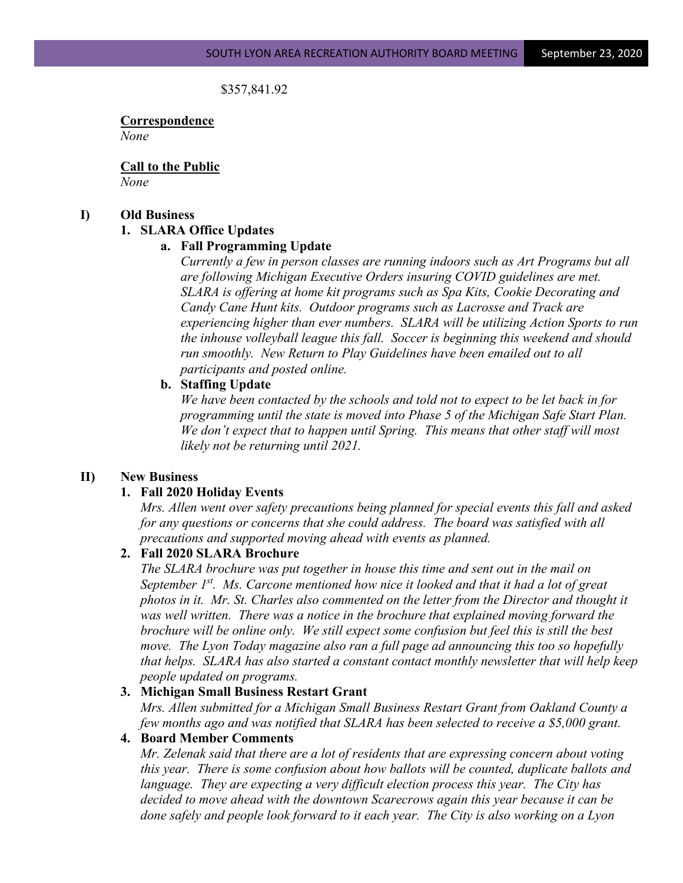\$357,841.92

**Correspondence** *None*

**Call to the Public** *None*

#### **I) Old Business**

### **1. SLARA Office Updates**

### **a. Fall Programming Update**

*Currently a few in person classes are running indoors such as Art Programs but all are following Michigan Executive Orders insuring COVID guidelines are met. SLARA is offering at home kit programs such as Spa Kits, Cookie Decorating and Candy Cane Hunt kits. Outdoor programs such as Lacrosse and Track are experiencing higher than ever numbers. SLARA will be utilizing Action Sports to run the inhouse volleyball league this fall. Soccer is beginning this weekend and should run smoothly. New Return to Play Guidelines have been emailed out to all participants and posted online.* 

### **b. Staffing Update**

*We have been contacted by the schools and told not to expect to be let back in for programming until the state is moved into Phase 5 of the Michigan Safe Start Plan. We don't expect that to happen until Spring. This means that other staff will most likely not be returning until 2021.*

### **II) New Business**

### **1. Fall 2020 Holiday Events**

*Mrs. Allen went over safety precautions being planned for special events this fall and asked for any questions or concerns that she could address. The board was satisfied with all precautions and supported moving ahead with events as planned.*

# **2. Fall 2020 SLARA Brochure**

*The SLARA brochure was put together in house this time and sent out in the mail on September 1st. Ms. Carcone mentioned how nice it looked and that it had a lot of great photos in it. Mr. St. Charles also commented on the letter from the Director and thought it was well written. There was a notice in the brochure that explained moving forward the brochure will be online only. We still expect some confusion but feel this is still the best move. The Lyon Today magazine also ran a full page ad announcing this too so hopefully that helps. SLARA has also started a constant contact monthly newsletter that will help keep people updated on programs.*

### **3. Michigan Small Business Restart Grant**

*Mrs. Allen submitted for a Michigan Small Business Restart Grant from Oakland County a few months ago and was notified that SLARA has been selected to receive a \$5,000 grant.*

### **4. Board Member Comments**

*Mr. Zelenak said that there are a lot of residents that are expressing concern about voting this year. There is some confusion about how ballots will be counted, duplicate ballots and language. They are expecting a very difficult election process this year. The City has decided to move ahead with the downtown Scarecrows again this year because it can be done safely and people look forward to it each year. The City is also working on a Lyon*